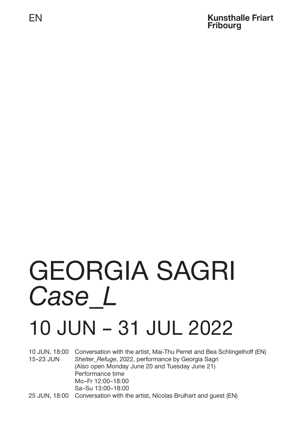EN

#### **Kunsthalle Friart Fribourg**

# GEORGIA SAGRI *Case\_L*

## 10 JUN – 31 JUL 2022

10 JUN, 18:00 Conversation with the artist, Mai-Thu Perret and Bea Schlingelhoff (EN) 15–23 JUN *Shelter\_Refuge*, 2022, performance by Georgia Sagri (Also open Monday June 20 and Tuesday June 21) Performance time Mo–Fr 12:00–18:00 Sa–Su 13:00–18:00 25 JUN, 18:00 Conversation with the artist, Nicolas Brulhart and guest (EN)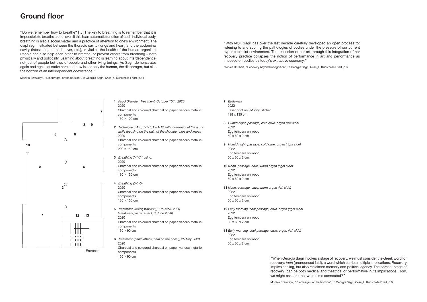**1** *Food Disorder, Treatment, October 15th, 2020* 2020

Charcoal and coloured charcoal on paper, various metallic components 150 × 100 cm

- **2** *Technique 5-1-5, 7-1-7, 12-1-12 with movement of the arms while focusing on the pain of the shoulder, hips and knees* 2020 Charcoal and coloured charcoal on paper, various metallic components 200 × 150 cm
- **3** *Breathing 7-1-7 (rolling)* 2020 Charcoal and coloured charcoal on paper, various metallic components 180 × 150 cm
- **4** *Breathing (5-1-5)* 2020 Charcoal and coloured charcoal on paper, various metallic components 180 × 150 cm
- **5** *Treatment, (κρίση πανικού), 1 Ιουνίου, 2020 [Treatment, panic attack, 1 June 2020]* 2020 Charcoal and coloured charcoal on paper, various metallic components  $150 \times 90$  cm
- **6** *Treatment (panic attack, pain on the chest), 25 May 2020* 2020 Charcoal and coloured charcoal on paper, various metallic components 150 × 90 cm

## **Ground floor**

- **7** *Birthmark* 2022 Laser print on 3M vinyl sticker 198 x 135 cm
- **8** *Humid night, passage, cold cave, organ (left side)* 2022 Egg tempera on wood 60 x 60 x 2 cm
- **9** *Humid night, passage, cold cave, organ (right side)* 2022 Egg tempera on wood 60 x 60 x 2 cm
- **10** *Noon, passage, cave, warm organ (right side)* 2022 Egg tempera on wood 60 x 60 x 2 cm
- **11** *Noon, passage, cave, warm organ (left side)* 2022 Egg tempera on wood 60 x 60 x 2 cm
- **12** *Early morning, cool passage, cave, organ (right side)* 2022 Egg tempera on wood 60 x 60 x 2 cm
- **13** *Early morning, cool passage, cave, organ (left side)* 2022 Egg tempera on wood 60 x 60 x 2 cm



"With IASI, Sagri has over the last decade carefully developed an open process for listening to and scoring the pathologies of bodies under the pressure of our current hyper-capitalist environment. The extension of her art through this integration of her recovery practice collapses the notion of performance in art and performance as imposed on bodies by today's extractive economy. "

Nicolas Brulhart, "Recovery beyond recognition", in Georgia Sagri, *Case\_L*, Kunsthalle Friart, p.3

"Do we remember how to breathe? […] The key to breathing is to remember that it is impossible to breathe alone: even if this is an automatic function of each individual body, breathing is also a social matter and a practice of attention to one's environment. The diaphragm, situated between the thoracic cavity (lungs and heart) and the abdominal cavity (intestines, stomach, liver, etc.), is vital to the health of the human organism. People can also help each other to breathe, or prevent others from breathing – both physically and politically. Learning about breathing is learning about interdependence, not just of people but also of people and other living beings. As Sagri demonstrates again and again, at stake here and now is not only the human, the diaphragm, but also the horizon of an interdependent coexistence. "

Monika Szewczyk, "Diaphragm, or the horizon", in Georgia Sagri, *Case\_L*, Kunsthalle Friart, p.11

"When Georgia Sagri invokes a stage of recovery, we must consider the Greek word for recovery: *ίαση* (pronounced ía'sī), a word which carries multiple implications. Recovery implies healing, but also reclaimed memory and political agency. The phrase 'stage of recovery' can be both medical and theatrical or performative in its implications. How, we might ask, are the two realms connected?"

Monika Szewczyk, "Diaphragm, or the horizon", in Georgia Sagri, *Case\_L*, Kunsthalle Friart, p.9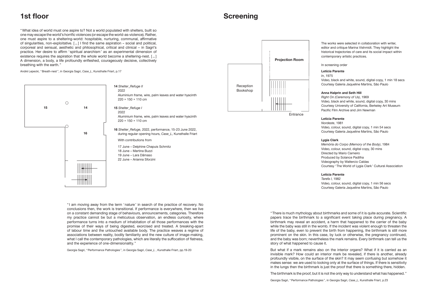## **1st floor**

"What idea of world must one aspire to? Not a world populated with shelters, built so one may escape the world's horrific violences (or escape the world-as-violence). Rather, one must aspire to a sheltering-world: hospitable, nurturing, communal, affirmative of singularities, non-exploitative. […] I find the same aspiration – social and political, corporeal and sensual, aesthetic and philosophical, critical and clinical – in Sagri's practice. Her desire to affirm 'spiritual anarchism' as an experimental dimension of existence requires the aspiration that the whole world become a sheltering-nest. […] A dimension, a body, a life profoundly enfleshed, courageously decisive, collectively breathing with the earth. "

André Lepecki, "Breath-nest ", in Georgia Sagri, *Case\_L*, Kunsthalle Friart, p.17

"There is much mythology about birthmarks and some of it is quite accurate. Scientific papers trace the birthmark to a significant event taking place during pregnancy. A birthmark may reveal an accident, a harm that happened to the carrier of the baby while the baby was still in the womb. If the incident was violent enough to threaten the life of the baby, even to prevent the birth from happening, the birthmark is still more prominent on the skin. In this case, by luck or otherwise, the pregnancy continued, and the baby was born; nevertheless the mark remains. Every birthmark can tell us the story of what happened to cause it.

But what if a mark remains also on the interior organs? What if it is carried as an invisible mark? How could an interior mark be revealed, if there is another, already profoundly visible, on the surface of the skin? It may seem confusing but somehow it makes sense: we are used to looking only at the surface of things. If there is sensitivity in the lungs then the birthmark is just the proof that there is something there, hidden.

The birthmark is the proof, but it is not the only way to understand what has happened. "

Georgia Sagri, "Performance Pathologies ", in Georgia Sagri, *Case\_L*, Kunsthalle Friart, p.23



**14** *Shelter\_Refuge II* 2022 Aluminium frame, wire, palm leaves and water hyacinth 220 × 150 × 110 cm

**15** *Shelter\_Refuge I*

2022

Aluminium frame, wire, palm leaves and water hyacinth 220 × 150 × 110 cm

**16** *Shelter\_Refuge*, 2022, performance, 15-23 June 2022, during regular opening hours, *Case\_L*, Kunsthalle Friart

With contributions from

17 June – Delphine Chapuis Schmitz 18 June – Martina Buzzi 19 June – Lara Dâmaso 22 June – Arianna Sforzini

### **Screening**

The works were selected in collaboration with writer, editor and critique Marina Vishmidt. They highlight the historical trajectories of care and its social impact within contemporary artistic practices.

In screening order

#### **Letícia Parente**

*In*, 1975

Video, black and white, sound, digital copy, 1 min 18 secs Courtesy Galeria Jaqueline Martins, São Paulo

#### **Anna Halprin and Seth Hill**

*Right On (Ceremony of Us)*, 1969 Video, black and white, sound, digital copy, 30 mins Courtesy University of California, Berkeley Art Museum Pacific Film Archive and Jim Newman

#### **Letícia Parente**

*Nordeste*, 1981 Video, colour, sound, digital copy, 1 min 54 secs Courtesy Galeria Jaqueline Martins, São Paulo

#### **Lygia Clark**

*Memória do Corpo (Memory of the Body)*, 1984 Video, colour, sound, digital copy, 30 mins Directed by Mario Carneiro Produced by Solance Padilha Videography by Waltercio Caldas Courtesy 'The World of Lygia Clark' Cultural Association

#### **Letícia Parente**

*Tarefa I*, 1982 Video, colour, sound, digital copy, 1 min 56 secs Courtesy Galeria Jaqueline Martins, São Paulo



" I am moving away from the term 'nature' in search of the practice of recovery. No conclusions then, the work is transitional. If performance is everywhere, then we live on a constant demanding stage of behaviours, announcements, categories. Therefore my practice cannot be but a meticulous observation, an endless curiosity, where performance turns into a medium of inhabitation of all those performances with the promise of their ways of being digested, exorcised and treated. A breaking-apart of labour time and the untouched available body. The practice weaves a regime of associations between reality, bodily familiarity and the new culture of image-making, what I call the contemporary pathologies, which are literally the suffocation of flatness, and the experience of one-dimensionality. "

Georgia Sagri, "Performance Pathologies ", in Georgia Sagri, *Case\_L* , Kunsthalle Friart, pp.19-20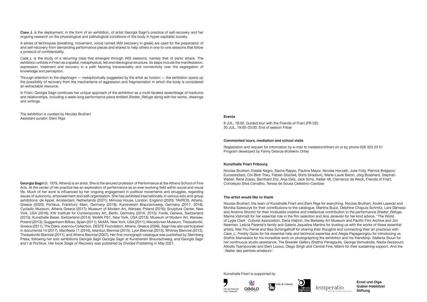Kunsthalle Friart is supported by







**Ernst und Olga Gubler-Hablützel Stiftung**



#### **Kunsthalle Friart Fribourg**

Nicolas Brulhart, Estelle Negro, Sacha Rappo, Pauline Mayor, Nicolas Horvath, Julie Folly, Pierrick Brégeon/ Eurostandard, Chi-Binh Trieu, Fabian Stücheli, Boris Siradovic, Marie-Laure Baron, Jörg Bosshard, Stephan Weber, René Zosso, Bernhard Zitz, Anja Delz, Jack Sims, Atelier 48, Clémence de Weck, Friends of Friart, Conceiçao Silva Carvalho, Teresa de Sousa Celestino-Cardoso

#### **Commented tours, mediation and school visits**

Registration and request for information by e-mail to mediation@friart.ch or by phone 026 323 23 51 Program developed by Fanny Delarze (Kollektiv Ortie)

#### **Events**

8 JUL, 18:00, Guided tour with the Friends of Friart (FR-DE) 30 JUL, 19:00–23:00, End of season Fribar

#### **The artist would like to thank**

Nicolas Brulhart, the team of Kunsthalle Friart and Eleni Riga for everything. Nicolas Brulhart, André Lepecki and Monika Szewczyk for their contributions to the catalogue. Martina Buzzi, Delphine Chapuis Schmitz, Lara Dâmaso and Arianna Sforzini for their invaluable creative and intellectual contribution to the performance *Shelter\_Refuge*. Marina Vishmidt for her essential role in the film selection and Ana Janevski for her kind advice. 'The World of Lygia Clark' Cultural Association, Daria Halprin, the Berkeley Art Museum and Pacific Film Archive and Jim Newman, Letícia Parente's family and Galeria Jaqueline Martins for trusting us with the works of these essential artists. Mai-Thu Perret and Bea Schlingelhoff for sharing their thoughts and connecting their art practices with *Case L.* Freddy Gizas for his essential help and technical expertise and Alegia Papageorgiou for introducing us. Stathis Mamalakis for his incredible work on photographing the exhibition and his friendship. Stefania Stouri for her continuous studio assistance. The Breeder Gallery (Stathis Panagoulis, George Vamvakidis, Nadia Gerazouni, Alkistis Tsampouraki and Eleni Lozou), Diego Singh and Central Fine, Miami for their sustaining support. And the 'Atelier des peintres amateurs '.

*Case L* is the study of a recurring case that emerged through IASI sessions, namely that of panic attack. The exhibition unfolds in Friart as a spatial, metaphysical, felt and ideological structure. Its steps include the manifestation, expression, treatment and recovery in a path favoring transversality and connectivity over the segregation of knowledge and perception.

#### **Georgia Sagri** (b. 1979, Athens) is an artist. She is the tenured professor of Performance at the Athens School of Fine Arts. At the center of her practice lies an exploration of performance as an ever-evolving field within social and visual life. Much of her work is influenced by her ongoing engagement in political movements and struggles, regarding issues of autonomy, empowerment and self-organisation. She has exhibited internationally in various solo and group exhibitions: de Appel, Amsterdam, Netherlands (2021); Mimosa House, London, England (2020); TAVROS, Athens, Greece (2020); Portikus, Frankfurt/ Main, Germany (2018); Kunstverein Braunschweig, Germany (2017, 2018); Cycladic Museum, Athens Greece (2017); Museum of Modern Art, Warsaw, Poland (2016); Sculpture Center, New York, USA (2016); KW Institute for Contemporary Art, Berlin, Germany (2016, 2015); Forde, Geneva, Switzerland (2015); Kunsthalle Basel, Switzerland (2014); MoMA PS1, New York, USA (2013); Museum of Modern Art, Warsaw, Poland (2013); Guggenheim Bilbao, Spain (2011); MoMA, New York, USA (2011); Macedonian Museum, Thessaloniki, Greece (2011); The Dakis Joannou Collection, DESTE Foundation, Athens, Greece (2006). Sagri has also participated in documenta 14 (2017), Manifesta 11 (2016), Istanbul; Biennial (2015), Lyon Biennial (2013), Whitney Biennial (2012), Thessaloniki Biennial (2011), and Athens Biennial (2007). Her first monograph catalogue was published by Sternberg Press, following her solo exhibitions *Georgia Sagri Georgia Sagri* at Kunstverein Braunschweig, and *Georgia Sagri and I* at Portikus. Her book *Stage of Recovery* was published by Divided Publishing in May 2021.

*Case\_L* is the deployment, in the form of an exhibition, of artist Georgia Sagri's practice of self-recovery and her ongoing research on the physiological and pathological conditions of the body in hyper-capitalist society.

A series of techniques (breathing, movement, voice) named IASI (recovery in greek) are used for the preparation of and self-recovery from demanding performance pieces and shared to help others in one-to-one sessions that follow a protocol of confidentiality.

Through attention to the *diaphragm* — metaphorically suggested by the artist as *horizon* — the exhibition opens up the possibility of recovery from the mechanisms of aggression and fragmentation in which the body is considered an extractable resource.

In Friart, Georgia Sagri continues her unique approach of the exhibition as a multi-faceted assemblage of mediums and relationships, including a week-long performance piece entitled *Shelter\_Refuge* along with her works, drawings and writings.

The exhibition is curated by Nicolas Brulhart Assistant curator: Eleni Riga